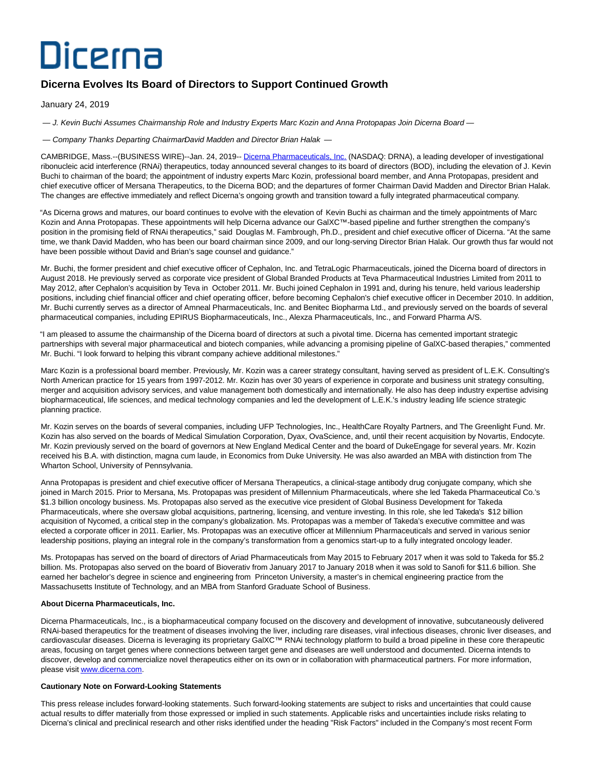## Dicerna

## **Dicerna Evolves Its Board of Directors to Support Continued Growth**

January 24, 2019

— J. Kevin Buchi Assumes Chairmanship Role and Industry Experts Marc Kozin and Anna Protopapas Join Dicerna Board —

— Company Thanks Departing ChairmarDavid Madden and Director Brian Halak —

CAMBRIDGE, Mass.--(BUSINESS WIRE)--Jan. 24, 2019-- [Dicerna Pharmaceuticals, Inc. \(](https://cts.businesswire.com/ct/CT?id=smartlink&url=http%3A%2F%2Fdicerna.com%2F&esheet=51930160&newsitemid=20190124005216&lan=en-US&anchor=Dicerna+Pharmaceuticals%2C+Inc.&index=1&md5=1333a60285e705452b25739b572a320e)NASDAQ: DRNA), a leading developer of investigational ribonucleic acid interference (RNAi) therapeutics, today announced several changes to its board of directors (BOD), including the elevation of J. Kevin Buchi to chairman of the board; the appointment of industry experts Marc Kozin, professional board member, and Anna Protopapas, president and chief executive officer of Mersana Therapeutics, to the Dicerna BOD; and the departures of former Chairman David Madden and Director Brian Halak. The changes are effective immediately and reflect Dicerna's ongoing growth and transition toward a fully integrated pharmaceutical company.

"As Dicerna grows and matures, our board continues to evolve with the elevation of Kevin Buchi as chairman and the timely appointments of Marc Kozin and Anna Protopapas. These appointments will help Dicerna advance our GalXC™-based pipeline and further strengthen the company's position in the promising field of RNAi therapeutics," said Douglas M. Fambrough, Ph.D., president and chief executive officer of Dicerna. "At the same time, we thank David Madden, who has been our board chairman since 2009, and our long-serving Director Brian Halak. Our growth thus far would not have been possible without David and Brian's sage counsel and guidance."

Mr. Buchi, the former president and chief executive officer of Cephalon, Inc. and TetraLogic Pharmaceuticals, joined the Dicerna board of directors in August 2018. He previously served as corporate vice president of Global Branded Products at Teva Pharmaceutical Industries Limited from 2011 to May 2012, after Cephalon's acquisition by Teva in October 2011. Mr. Buchi joined Cephalon in 1991 and, during his tenure, held various leadership positions, including chief financial officer and chief operating officer, before becoming Cephalon's chief executive officer in December 2010. In addition, Mr. Buchi currently serves as a director of Amneal Pharmaceuticals, Inc. and Benitec Biopharma Ltd., and previously served on the boards of several pharmaceutical companies, including EPIRUS Biopharmaceuticals, Inc., Alexza Pharmaceuticals, Inc., and Forward Pharma A/S.

"I am pleased to assume the chairmanship of the Dicerna board of directors at such a pivotal time. Dicerna has cemented important strategic partnerships with several major pharmaceutical and biotech companies, while advancing a promising pipeline of GalXC-based therapies," commented Mr. Buchi. "I look forward to helping this vibrant company achieve additional milestones."

Marc Kozin is a professional board member. Previously, Mr. Kozin was a career strategy consultant, having served as president of L.E.K. Consulting's North American practice for 15 years from 1997-2012. Mr. Kozin has over 30 years of experience in corporate and business unit strategy consulting, merger and acquisition advisory services, and value management both domestically and internationally. He also has deep industry expertise advising biopharmaceutical, life sciences, and medical technology companies and led the development of L.E.K.'s industry leading life science strategic planning practice.

Mr. Kozin serves on the boards of several companies, including UFP Technologies, Inc., HealthCare Royalty Partners, and The Greenlight Fund. Mr. Kozin has also served on the boards of Medical Simulation Corporation, Dyax, OvaScience, and, until their recent acquisition by Novartis, Endocyte. Mr. Kozin previously served on the board of governors at New England Medical Center and the board of DukeEngage for several years. Mr. Kozin received his B.A. with distinction, magna cum laude, in Economics from Duke University. He was also awarded an MBA with distinction from The Wharton School, University of Pennsylvania.

Anna Protopapas is president and chief executive officer of Mersana Therapeutics, a clinical-stage antibody drug conjugate company, which she joined in March 2015. Prior to Mersana, Ms. Protopapas was president of Millennium Pharmaceuticals, where she led Takeda Pharmaceutical Co.'s \$1.3 billion oncology business. Ms. Protopapas also served as the executive vice president of Global Business Development for Takeda Pharmaceuticals, where she oversaw global acquisitions, partnering, licensing, and venture investing. In this role, she led Takeda's \$12 billion acquisition of Nycomed, a critical step in the company's globalization. Ms. Protopapas was a member of Takeda's executive committee and was elected a corporate officer in 2011. Earlier, Ms. Protopapas was an executive officer at Millennium Pharmaceuticals and served in various senior leadership positions, playing an integral role in the company's transformation from a genomics start-up to a fully integrated oncology leader.

Ms. Protopapas has served on the board of directors of Ariad Pharmaceuticals from May 2015 to February 2017 when it was sold to Takeda for \$5.2 billion. Ms. Protopapas also served on the board of Bioverativ from January 2017 to January 2018 when it was sold to Sanofi for \$11.6 billion. She earned her bachelor's degree in science and engineering from Princeton University, a master's in chemical engineering practice from the Massachusetts Institute of Technology, and an MBA from Stanford Graduate School of Business.

## **About Dicerna Pharmaceuticals, Inc.**

Dicerna Pharmaceuticals, Inc., is a biopharmaceutical company focused on the discovery and development of innovative, subcutaneously delivered RNAi-based therapeutics for the treatment of diseases involving the liver, including rare diseases, viral infectious diseases, chronic liver diseases, and cardiovascular diseases. Dicerna is leveraging its proprietary GalXC™ RNAi technology platform to build a broad pipeline in these core therapeutic areas, focusing on target genes where connections between target gene and diseases are well understood and documented. Dicerna intends to discover, develop and commercialize novel therapeutics either on its own or in collaboration with pharmaceutical partners. For more information, please visi[t www.dicerna.com.](https://cts.businesswire.com/ct/CT?id=smartlink&url=http%3A%2F%2Fwww.dicerna.com&esheet=51930160&newsitemid=20190124005216&lan=en-US&anchor=www.dicerna.com&index=2&md5=f37d3cb87cfda08f60f52c49cb5427ca)

## **Cautionary Note on Forward-Looking Statements**

This press release includes forward-looking statements. Such forward-looking statements are subject to risks and uncertainties that could cause actual results to differ materially from those expressed or implied in such statements. Applicable risks and uncertainties include risks relating to Dicerna's clinical and preclinical research and other risks identified under the heading "Risk Factors" included in the Company's most recent Form